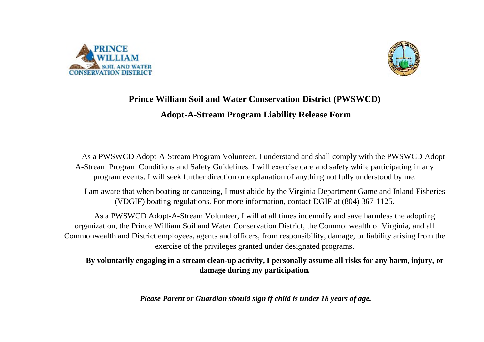



## **Prince William Soil and Water Conservation District (PWSWCD) Adopt-A-Stream Program Liability Release Form**

As a PWSWCD Adopt-A-Stream Program Volunteer, I understand and shall comply with the PWSWCD Adopt-A-Stream Program Conditions and Safety Guidelines. I will exercise care and safety while participating in any program events. I will seek further direction or explanation of anything not fully understood by me.

I am aware that when boating or canoeing, I must abide by the Virginia Department Game and Inland Fisheries (VDGIF) boating regulations. For more information, contact DGIF at (804) 367-1125.

As a PWSWCD Adopt-A-Stream Volunteer, I will at all times indemnify and save harmless the adopting organization, the Prince William Soil and Water Conservation District, the Commonwealth of Virginia, and all Commonwealth and District employees, agents and officers, from responsibility, damage, or liability arising from the exercise of the privileges granted under designated programs.

**By voluntarily engaging in a stream clean-up activity, I personally assume all risks for any harm, injury, or damage during my participation.**

*Please Parent or Guardian should sign if child is under 18 years of age.*